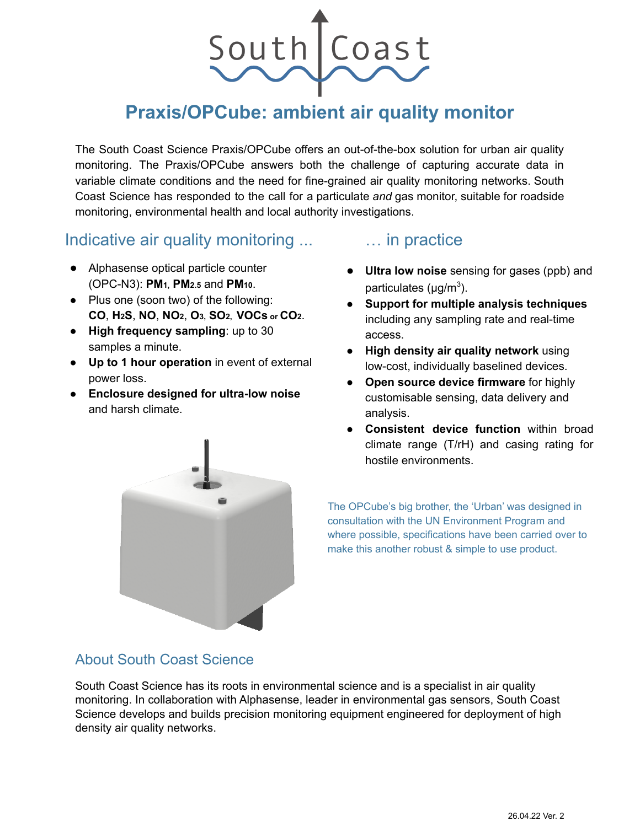

# **Praxis/OPCube: ambient air quality monitor**

The South Coast Science Praxis/OPCube offers an out-of-the-box solution for urban air quality monitoring. The Praxis/OPCube answers both the challenge of capturing accurate data in variable climate conditions and the need for fine-grained air quality monitoring networks. South Coast Science has responded to the call for a particulate *and* gas monitor, suitable for roadside monitoring, environmental health and local authority investigations.

# Indicative air quality monitoring ...

- Alphasense optical particle counter (OPC-N3): **PM1, PM2.5** and **PM10**.
- Plus one (soon two) of the following: **CO**, **H2S**, **NO**, **NO2**, **O3, SO2, VOCs or CO2**.
- **High frequency sampling**: up to 30 samples a minute.
- **Up to 1 hour operation** in event of external power loss.
- **Enclosure designed for ultra-low noise** and harsh climate.

# … in practice

- **Ultra low noise** sensing for gases (ppb) and particulates (μg/m<sup>3</sup>).
- **Support for multiple analysis techniques** including any sampling rate and real-time access.
- **High density air quality network** using low-cost, individually baselined devices.
- **Open source device firmware** for highly customisable sensing, data delivery and analysis.
- **Consistent device function** within broad climate range (T/rH) and casing rating for hostile environments.

The OPCube's big brother, the 'Urban' was designed in consultation with the UN Environment Program and where possible, specifications have been carried over to make this another robust & simple to use product.

## About South Coast Science

South Coast Science has its roots in environmental science and is a specialist in air quality monitoring. In collaboration with Alphasense, leader in environmental gas sensors, South Coast Science develops and builds precision monitoring equipment engineered for deployment of high density air quality networks.